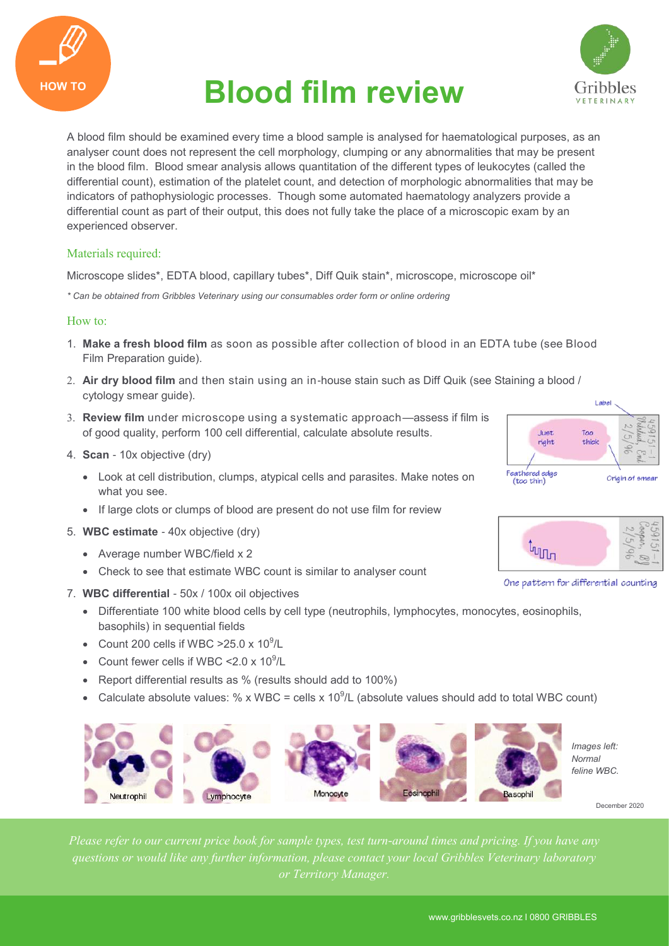

# **HOW TO Blood film review**



A blood film should be examined every time a blood sample is analysed for haematological purposes, as an analyser count does not represent the cell morphology, clumping or any abnormalities that may be present in the blood film. Blood smear analysis allows quantitation of the different types of leukocytes (called the differential count), estimation of the platelet count, and detection of morphologic abnormalities that may be indicators of pathophysiologic processes. Though some automated haematology analyzers provide a differential count as part of their output, this does not fully take the place of a microscopic exam by an experienced observer.

## Materials required:

Microscope slides\*, EDTA blood, capillary tubes\*, Diff Quik stain\*, microscope, microscope oil\*

*\* Can be obtained from Gribbles Veterinary using our consumables order form or online ordering*

## How to:

- 1. **Make a fresh blood film** as soon as possible after collection of blood in an EDTA tube (see Blood Film Preparation guide).
- **Air dry blood film** and then stain using an in-house stain such as Diff Quik (see Staining a blood / cytology smear guide).
- **Review film** under microscope using a systematic approach—assess if film is of good quality, perform 100 cell differential, calculate absolute results.
- 4. **Scan** 10x objective (dry)
	- Look at cell distribution, clumps, atypical cells and parasites. Make notes on what you see.
	- If large clots or clumps of blood are present do not use film for review
- 5. **WBC estimate**  40x objective (dry)
	- Average number WBC/field x 2
	- Check to see that estimate WBC count is similar to analyser count
- 7. **WBC differential**  50x / 100x oil objectives
	- Differentiate 100 white blood cells by cell type (neutrophils, lymphocytes, monocytes, eosinophils, basophils) in sequential fields
	- Count 200 cells if WBC  $>25.0 \times 10^9$ /L
	- Count fewer cells if WBC <  $2.0 \times 10^9$ /L
	- Report differential results as % (results should add to 100%)
	- Calculate absolute values: % x WBC = cells x 10<sup>9</sup>/L (absolute values should add to total WBC count)



*Images left: Normal feline WBC.*

December 2020





One pattern for differential counting